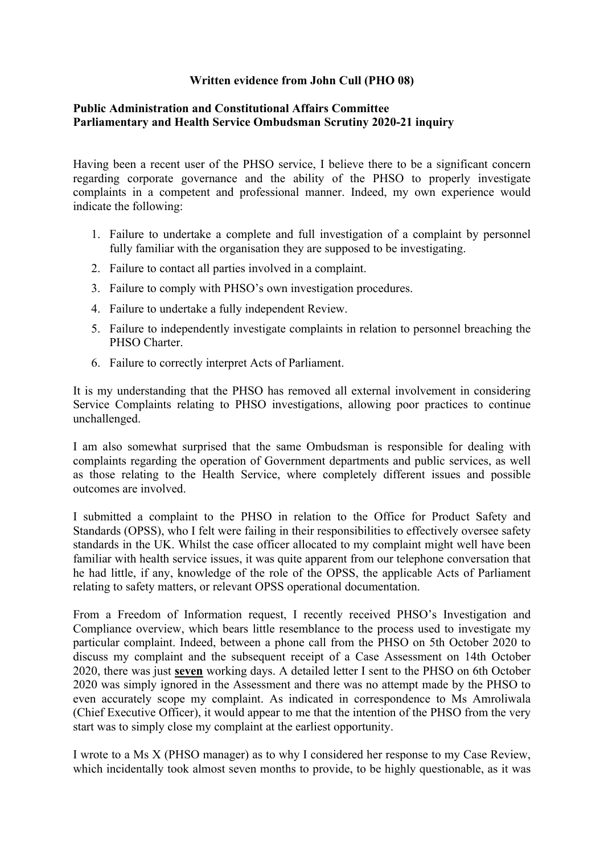## **Written evidence from John Cull (PHO 08)**

## **[Public](https://admin.committees.parliament.uk/Committee/Edit/327) [Administration](https://admin.committees.parliament.uk/Committee/Edit/327) [and](https://admin.committees.parliament.uk/Committee/Edit/327) [Constitutional](https://admin.committees.parliament.uk/Committee/Edit/327) [Affairs](https://admin.committees.parliament.uk/Committee/Edit/327) [Committee](https://admin.committees.parliament.uk/Committee/Edit/327) [Parliamentary](https://admin.committees.parliament.uk/Committee/327/CommitteeBusiness/Edit/1503) [and](https://admin.committees.parliament.uk/Committee/327/CommitteeBusiness/Edit/1503) [Health](https://admin.committees.parliament.uk/Committee/327/CommitteeBusiness/Edit/1503) [Service](https://admin.committees.parliament.uk/Committee/327/CommitteeBusiness/Edit/1503) [Ombudsman](https://admin.committees.parliament.uk/Committee/327/CommitteeBusiness/Edit/1503) [Scrutiny](https://admin.committees.parliament.uk/Committee/327/CommitteeBusiness/Edit/1503) [2020-21](https://admin.committees.parliament.uk/Committee/327/CommitteeBusiness/Edit/1503) inquiry**

Having been a recent user of the PHSO service, I believe there to be a significant concern regarding corporate governance and the ability of the PHSO to properly investigate complaints in a competent and professional manner. Indeed, my own experience would indicate the following:

- 1. Failure to undertake a complete and full investigation of a complaint by personnel fully familiar with the organisation they are supposed to be investigating.
- 2. Failure to contact all parties involved in a complaint.
- 3. Failure to comply with PHSO's own investigation procedures.
- 4. Failure to undertake a fully independent Review.
- 5. Failure to independently investigate complaints in relation to personnel breaching the PHSO Charter
- 6. Failure to correctly interpret Acts of Parliament.

It is my understanding that the PHSO has removed all external involvement in considering Service Complaints relating to PHSO investigations, allowing poor practices to continue unchallenged.

I am also somewhat surprised that the same Ombudsman is responsible for dealing with complaints regarding the operation of Government departments and public services, as well as those relating to the Health Service, where completely different issues and possible outcomes are involved.

I submitted a complaint to the PHSO in relation to the Office for Product Safety and Standards (OPSS), who I felt were failing in their responsibilities to effectively oversee safety standards in the UK. Whilst the case officer allocated to my complaint might well have been familiar with health service issues, it was quite apparent from our telephone conversation that he had little, if any, knowledge of the role of the OPSS, the applicable Acts of Parliament relating to safety matters, or relevant OPSS operational documentation.

From a Freedom of Information request, I recently received PHSO's Investigation and Compliance overview, which bears little resemblance to the process used to investigate my particular complaint. Indeed, between a phone call from the PHSO on 5th October 2020 to discuss my complaint and the subsequent receipt of a Case Assessment on 14th October 2020, there was just **seven** working days. A detailed letter I sent to the PHSO on 6th October 2020 was simply ignored in the Assessment and there was no attempt made by the PHSO to even accurately scope my complaint. As indicated in correspondence to Ms Amroliwala (Chief Executive Officer), it would appear to me that the intention of the PHSO from the very start was to simply close my complaint at the earliest opportunity.

I wrote to a Ms X (PHSO manager) as to why I considered her response to my Case Review, which incidentally took almost seven months to provide, to be highly questionable, as it was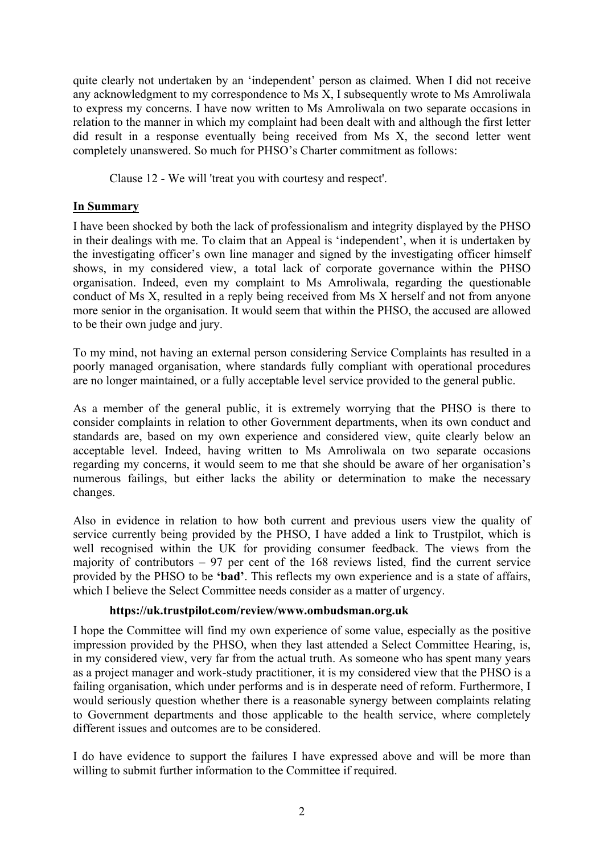quite clearly not undertaken by an 'independent' person as claimed. When I did not receive any acknowledgment to my correspondence to Ms X, I subsequently wrote to Ms Amroliwala to express my concerns. I have now written to Ms Amroliwala on two separate occasions in relation to the manner in which my complaint had been dealt with and although the first letter did result in a response eventually being received from Ms X, the second letter went completely unanswered. So much for PHSO's Charter commitment as follows:

Clause 12 - We will 'treat you with courtesy and respect'.

## **In Summary**

I have been shocked by both the lack of professionalism and integrity displayed by the PHSO in their dealings with me. To claim that an Appeal is 'independent', when it is undertaken by the investigating officer's own line manager and signed by the investigating officer himself shows, in my considered view, a total lack of corporate governance within the PHSO organisation. Indeed, even my complaint to Ms Amroliwala, regarding the questionable conduct of Ms X, resulted in a reply being received from Ms X herself and not from anyone more senior in the organisation. It would seem that within the PHSO, the accused are allowed to be their own judge and jury.

To my mind, not having an external person considering Service Complaints has resulted in a poorly managed organisation, where standards fully compliant with operational procedures are no longer maintained, or a fully acceptable level service provided to the general public.

As a member of the general public, it is extremely worrying that the PHSO is there to consider complaints in relation to other Government departments, when its own conduct and standards are, based on my own experience and considered view, quite clearly below an acceptable level. Indeed, having written to Ms Amroliwala on two separate occasions regarding my concerns, it would seem to me that she should be aware of her organisation's numerous failings, but either lacks the ability or determination to make the necessary changes.

Also in evidence in relation to how both current and previous users view the quality of service currently being provided by the PHSO, I have added a link to Trustpilot, which is well recognised within the UK for providing consumer feedback. The views from the majority of contributors – 97 per cent of the 168 reviews listed, find the current service provided by the PHSO to be **'bad'**. This reflects my own experience and is a state of affairs, which I believe the Select Committee needs consider as a matter of urgency.

## **https://uk.trustpilot.com/review/www.ombudsman.org.uk**

I hope the Committee will find my own experience of some value, especially as the positive impression provided by the PHSO, when they last attended a Select Committee Hearing, is, in my considered view, very far from the actual truth. As someone who has spent many years as a project manager and work-study practitioner, it is my considered view that the PHSO is a failing organisation, which under performs and is in desperate need of reform. Furthermore, I would seriously question whether there is a reasonable synergy between complaints relating to Government departments and those applicable to the health service, where completely different issues and outcomes are to be considered.

I do have evidence to support the failures I have expressed above and will be more than willing to submit further information to the Committee if required.